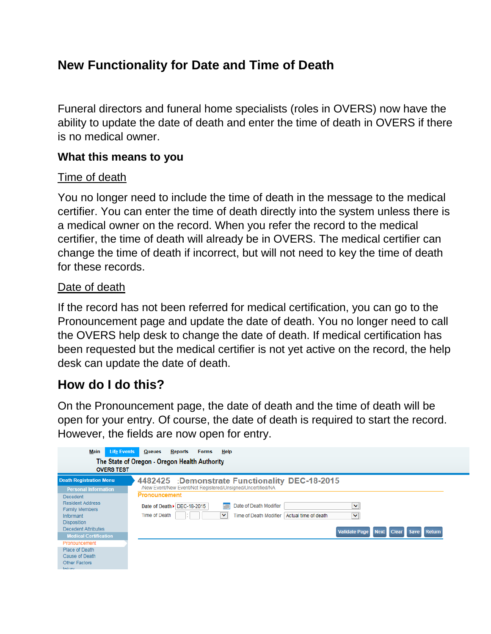# **New Functionality for Date and Time of Death**

Funeral directors and funeral home specialists (roles in OVERS) now have the ability to update the date of death and enter the time of death in OVERS if there is no medical owner.

### **What this means to you**

#### Time of death

You no longer need to include the time of death in the message to the medical certifier. You can enter the time of death directly into the system unless there is a medical owner on the record. When you refer the record to the medical certifier, the time of death will already be in OVERS. The medical certifier can change the time of death if incorrect, but will not need to key the time of death for these records.

#### Date of death

If the record has not been referred for medical certification, you can go to the Pronouncement page and update the date of death. You no longer need to call the OVERS help desk to change the date of death. If medical certification has been requested but the medical certifier is not yet active on the record, the help desk can update the date of death.

## **How do I do this?**

On the Pronouncement page, the date of death and the time of death will be open for your entry. Of course, the date of death is required to start the record. However, the fields are now open for entry.

| <b>Life Events</b><br>Main                                                                                                                  | Help<br><b>Queues</b><br><b>Reports</b><br><b>Forms</b>                                                                                                                                                                                                                       |  |
|---------------------------------------------------------------------------------------------------------------------------------------------|-------------------------------------------------------------------------------------------------------------------------------------------------------------------------------------------------------------------------------------------------------------------------------|--|
| The State of Oregon - Oregon Health Authority                                                                                               |                                                                                                                                                                                                                                                                               |  |
| <b>OVERS TEST</b>                                                                                                                           |                                                                                                                                                                                                                                                                               |  |
| <b>Death Registration Menu</b>                                                                                                              | 4482425 :Demonstrate Functionality DEC-18-2015                                                                                                                                                                                                                                |  |
| <b>Personal Information</b>                                                                                                                 | /New Event/New Event/Not Registered/Unsigned/Uncertified/NA                                                                                                                                                                                                                   |  |
| <b>Decedent</b><br><b>Resident Address</b><br><b>Family Members</b><br><b>Informant</b><br><b>Disposition</b><br><b>Decedent Attributes</b> | Pronouncement<br>Date of Death Modifier<br>◡<br>Date of Death > DEC-18-2015<br>Time of Death<br>$\checkmark$<br>Actual time of death<br>$\blacktriangledown$<br>Time of Death Modifier<br><b>Validate Page</b><br><b>Next</b><br><b>Clear</b><br><b>Return</b><br><b>Save</b> |  |
| <b>Medical Certification</b><br>Pronouncement                                                                                               |                                                                                                                                                                                                                                                                               |  |
| Place of Death<br>Cause of Death<br>Other Factors                                                                                           |                                                                                                                                                                                                                                                                               |  |
| <b>Service Controllers</b>                                                                                                                  |                                                                                                                                                                                                                                                                               |  |